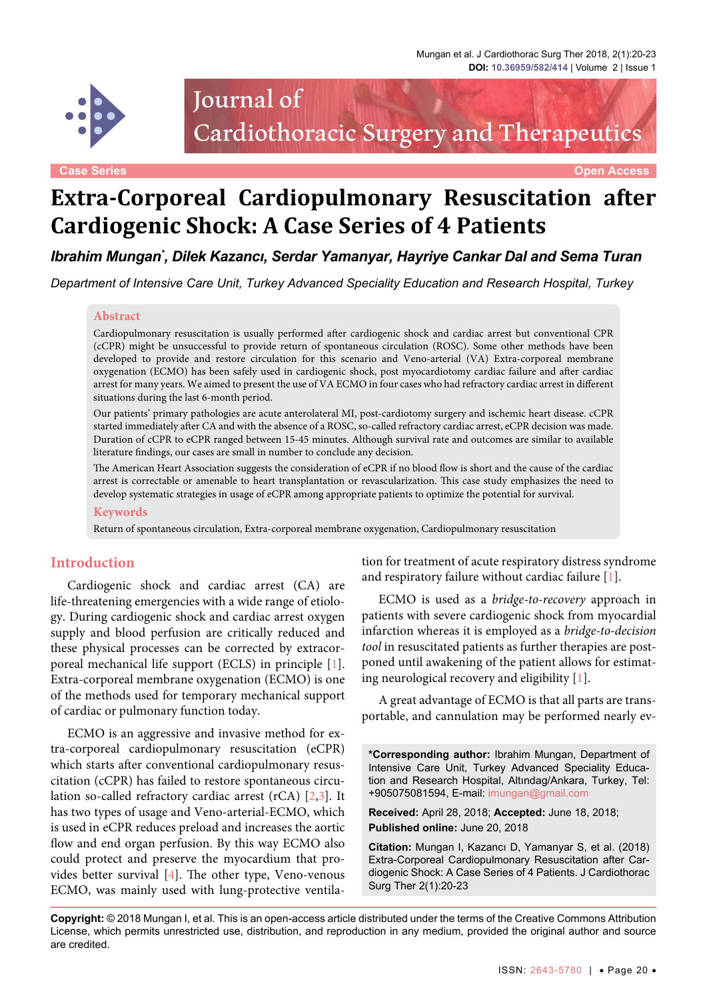

# Journal of Cardiothoracic Surgery and Therapeutics

**Case Series Open Access**

## **Extra-Corporeal Cardiopulmonary Resuscitation after Cardiogenic Shock: A Case Series of 4 Patients**

*Ibrahim Mungan\* , Dilek Kazancı, Serdar Yamanyar, Hayriye Cankar Dal and Sema Turan*

*Department of Intensive Care Unit, Turkey Advanced Speciality Education and Research Hospital, Turkey*

#### **Abstract**

Cardiopulmonary resuscitation is usually performed after cardiogenic shock and cardiac arrest but conventional CPR (cCPR) might be unsuccessful to provide return of spontaneous circulation (ROSC). Some other methods have been developed to provide and restore circulation for this scenario and Veno-arterial (VA) Extra-corporeal membrane oxygenation (ECMO) has been safely used in cardiogenic shock, post myocardiotomy cardiac failure and after cardiac arrest for many years. We aimed to present the use of VA ECMO in four cases who had refractory cardiac arrest in different situations during the last 6-month period.

Our patients' primary pathologies are acute anterolateral MI, post-cardiotomy surgery and ischemic heart disease. cCPR started immediately after CA and with the absence of a ROSC, so-called refractory cardiac arrest, eCPR decision was made. Duration of cCPR to eCPR ranged between 15-45 minutes. Although survival rate and outcomes are similar to available literature findings, our cases are small in number to conclude any decision.

The American Heart Association suggests the consideration of eCPR if no blood flow is short and the cause of the cardiac arrest is correctable or amenable to heart transplantation or revascularization. This case study emphasizes the need to develop systematic strategies in usage of eCPR among appropriate patients to optimize the potential for survival.

#### **Keywords**

Return of spontaneous circulation, Extra-corporeal membrane oxygenation, Cardiopulmonary resuscitation

#### **Introduction**

Cardiogenic shock and cardiac arrest (CA) are life-threatening emergencies with a wide range of etiology. During cardiogenic shock and cardiac arrest oxygen supply and blood perfusion are critically reduced and these physical processes can be corrected by extracorporeal mechanical life support (ECLS) in principle [[1](#page-3-0)]. Extra-corporeal membrane oxygenation (ECMO) is one of the methods used for temporary mechanical support of cardiac or pulmonary function today.

ECMO is an aggressive and invasive method for extra-corporeal cardiopulmonary resuscitation (eCPR) which starts after conventional cardiopulmonary resuscitation (cCPR) has failed to restore spontaneous circulation so-called refractory cardiac arrest (rCA) [\[2,](#page-3-1)[3](#page-3-2)]. It has two types of usage and Veno-arterial-ECMO, which is used in eCPR reduces preload and increases the aortic flow and end organ perfusion. By this way ECMO also could protect and preserve the myocardium that provides better survival [[4](#page-3-3)]. The other type, Veno-venous ECMO, was mainly used with lung-protective ventilation for treatment of acute respiratory distress syndrome and respiratory failure without cardiac failure [[1](#page-3-0)].

ECMO is used as a *bridge-to-recovery* approach in patients with severe cardiogenic shock from myocardial infarction whereas it is employed as a *bridge-to-decision tool* in resuscitated patients as further therapies are postponed until awakening of the patient allows for estimating neurological recovery and eligibility [[1](#page-3-0)].

A great advantage of ECMO is that all parts are transportable, and cannulation may be performed nearly ev-

**\*Corresponding author:** Ibrahim Mungan, Department of Intensive Care Unit, Turkey Advanced Speciality Education and Research Hospital, Altındag/Ankara, Turkey, Tel: +905075081594, E-mail: imungan@gmail.com

**Received:** April 28, 2018; **Accepted:** June 18, 2018; **Published online:** June 20, 2018

**Citation:** Mungan I, Kazancı D, Yamanyar S, et al. (2018) Extra-Corporeal Cardiopulmonary Resuscitation after Cardiogenic Shock: A Case Series of 4 Patients. J Cardiothorac Surg Ther 2(1):20-23

**Copyright:** © 2018 Mungan I, et al. This is an open-access article distributed under the terms of the Creative Commons Attribution License, which permits unrestricted use, distribution, and reproduction in any medium, provided the original author and source are credited.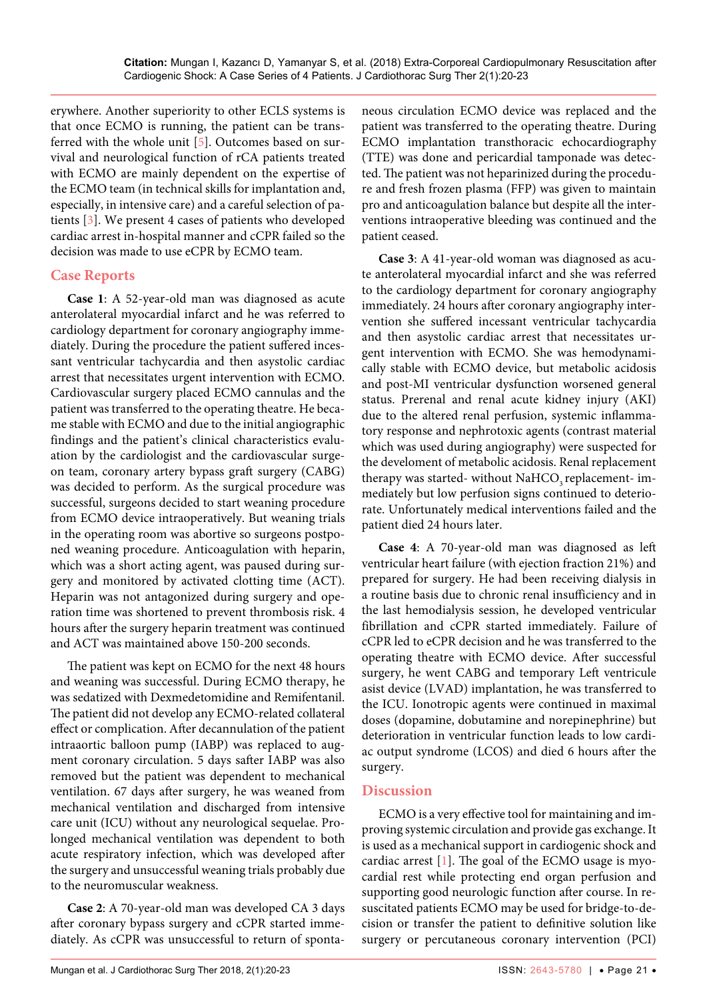erywhere. Another superiority to other ECLS systems is that once ECMO is running, the patient can be transferred with the whole unit [[5\]](#page-3-4). Outcomes based on survival and neurological function of rCA patients treated with ECMO are mainly dependent on the expertise of the ECMO team (in technical skills for implantation and, especially, in intensive care) and a careful selection of patients [\[3\]](#page-3-2). We present 4 cases of patients who developed cardiac arrest in-hospital manner and cCPR failed so the decision was made to use eCPR by ECMO team.

## **Case Reports**

**Case 1**: A 52-year-old man was diagnosed as acute anterolateral myocardial infarct and he was referred to cardiology department for coronary angiography immediately. During the procedure the patient suffered incessant ventricular tachycardia and then asystolic cardiac arrest that necessitates urgent intervention with ECMO. Cardiovascular surgery placed ECMO cannulas and the patient was transferred to the operating theatre. He became stable with ECMO and due to the initial angiographic findings and the patient's clinical characteristics evaluation by the cardiologist and the cardiovascular surgeon team, coronary artery bypass graft surgery (CABG) was decided to perform. As the surgical procedure was successful, surgeons decided to start weaning procedure from ECMO device intraoperatively. But weaning trials in the operating room was abortive so surgeons postponed weaning procedure. Anticoagulation with heparin, which was a short acting agent, was paused during surgery and monitored by activated clotting time (ACT). Heparin was not antagonized during surgery and operation time was shortened to prevent thrombosis risk. 4 hours after the surgery heparin treatment was continued and ACT was maintained above 150-200 seconds.

The patient was kept on ECMO for the next 48 hours and weaning was successful. During ECMO therapy, he was sedatized with Dexmedetomidine and Remifentanil. The patient did not develop any ECMO-related collateral effect or complication. After decannulation of the patient intraaortic balloon pump (IABP) was replaced to augment coronary circulation. 5 days safter IABP was also removed but the patient was dependent to mechanical ventilation. 67 days after surgery, he was weaned from mechanical ventilation and discharged from intensive care unit (ICU) without any neurological sequelae. Prolonged mechanical ventilation was dependent to both acute respiratory infection, which was developed after the surgery and unsuccessful weaning trials probably due to the neuromuscular weakness.

**Case 2**: A 70-year-old man was developed CA 3 days after coronary bypass surgery and cCPR started immediately. As cCPR was unsuccessful to return of sponta-

neous circulation ECMO device was replaced and the patient was transferred to the operating theatre. During ECMO implantation transthoracic echocardiography (TTE) was done and pericardial tamponade was detected. The patient was not heparinized during the procedure and fresh frozen plasma (FFP) was given to maintain pro and anticoagulation balance but despite all the interventions intraoperative bleeding was continued and the patient ceased.

**Case 3**: A 41-year-old woman was diagnosed as acute anterolateral myocardial infarct and she was referred to the cardiology department for coronary angiography immediately. 24 hours after coronary angiography intervention she suffered incessant ventricular tachycardia and then asystolic cardiac arrest that necessitates urgent intervention with ECMO. She was hemodynamically stable with ECMO device, but metabolic acidosis and post-MI ventricular dysfunction worsened general status. Prerenal and renal acute kidney injury (AKI) due to the altered renal perfusion, systemic inflammatory response and nephrotoxic agents (contrast material which was used during angiography) were suspected for the develoment of metabolic acidosis. Renal replacement therapy was started- without NaHCO<sub>,</sub> replacement- immediately but low perfusion signs continued to deteriorate. Unfortunately medical interventions failed and the patient died 24 hours later.

**Case 4**: A 70-year-old man was diagnosed as left ventricular heart failure (with ejection fraction 21%) and prepared for surgery. He had been receiving dialysis in a routine basis due to chronic renal insufficiency and in the last hemodialysis session, he developed ventricular fibrillation and cCPR started immediately. Failure of cCPR led to eCPR decision and he was transferred to the operating theatre with ECMO device. After successful surgery, he went CABG and temporary Left ventricule asist device (LVAD) implantation, he was transferred to the ICU. Ionotropic agents were continued in maximal doses (dopamine, dobutamine and norepinephrine) but deterioration in ventricular function leads to low cardiac output syndrome (LCOS) and died 6 hours after the surgery.

## **Discussion**

ECMO is a very effective tool for maintaining and improving systemic circulation and provide gas exchange. It is used as a mechanical support in cardiogenic shock and cardiac arrest  $[1]$  $[1]$ . The goal of the ECMO usage is myocardial rest while protecting end organ perfusion and supporting good neurologic function after course. In resuscitated patients ECMO may be used for bridge-to-decision or transfer the patient to definitive solution like surgery or percutaneous coronary intervention (PCI)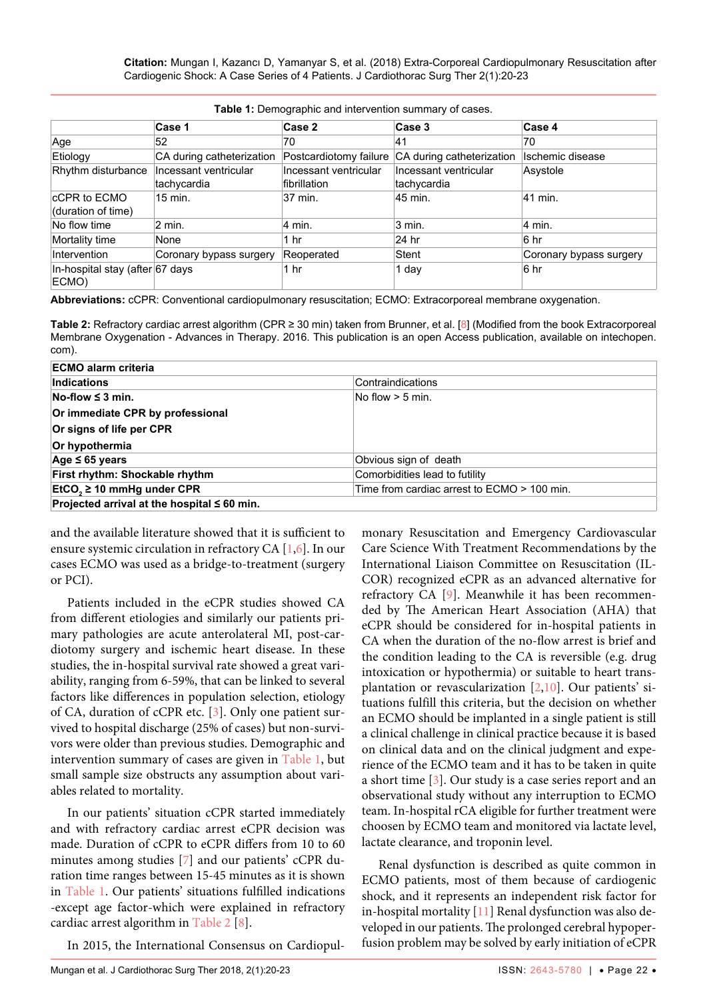**Citation:** Mungan I, Kazancı D, Yamanyar S, et al. (2018) Extra-Corporeal Cardiopulmonary Resuscitation after Cardiogenic Shock: A Case Series of 4 Patients. J Cardiothorac Surg Ther 2(1):20-23

| <b>Table 1.</b> Defined about and intervention summary of cases. |                                      |                                       |                                      |                         |  |
|------------------------------------------------------------------|--------------------------------------|---------------------------------------|--------------------------------------|-------------------------|--|
|                                                                  | ∣Case 1                              | Case 2                                | Case 3                               | Case 4                  |  |
| Age                                                              | 52                                   | 70                                    | 41                                   | 70                      |  |
| Etiology                                                         | CA during catheterization            | Postcardiotomy failure                | CA during catheterization            | Ischemic disease        |  |
| Rhythm disturbance                                               | Incessant ventricular<br>tachycardia | Incessant ventricular<br>fibrillation | Incessant ventricular<br>tachycardia | Asystole                |  |
| <b>CCPR to ECMO</b><br>(duration of time)                        | $15$ min.                            | 37 min.                               | 45 min.                              | 41 min.                 |  |
| No flow time                                                     | $2$ min.                             | 4 min.                                | 3 min.                               | 4 min.                  |  |
| Mortality time                                                   | None                                 | 1 hr                                  | 24 hr                                | 6 <sub>hr</sub>         |  |
| Intervention                                                     | Coronary bypass surgery              | Reoperated                            | Stent                                | Coronary bypass surgery |  |
| In-hospital stay (after 67 days<br>ECMO)                         |                                      | 1 hr                                  | 1 day                                | 6 <sub>hr</sub>         |  |

<span id="page-2-0"></span>**Table 1:** Demographic and intervention summary of cases.

**Abbreviations:** cCPR: Conventional cardiopulmonary resuscitation; ECMO: Extracorporeal membrane oxygenation.

<span id="page-2-1"></span>**Table 2:** Refractory cardiac arrest algorithm (CPR ≥ 30 min) taken from Brunner, et al. [[8](#page-3-10)] (Modified from the book Extracorporeal Membrane Oxygenation - Advances in Therapy. 2016. This publication is an open Access publication, available on intechopen. com).

| <b>ECMO alarm criteria</b>                       |                                             |  |  |
|--------------------------------------------------|---------------------------------------------|--|--|
| Indications                                      | Contraindications                           |  |  |
| $No-flow \leq 3 min$ .                           | No flow $>$ 5 min.                          |  |  |
| Or immediate CPR by professional                 |                                             |  |  |
| Or signs of life per CPR                         |                                             |  |  |
| Or hypothermia                                   |                                             |  |  |
| Age $\leq 65$ years                              | Obvious sign of death                       |  |  |
| First rhythm: Shockable rhythm                   | Comorbidities lead to futility              |  |  |
| $EtCO2 \ge 10$ mmHg under CPR                    | Time from cardiac arrest to ECMO > 100 min. |  |  |
| Projected arrival at the hospital $\leq 60$ min. |                                             |  |  |

and the available literature showed that it is sufficient to ensure systemic circulation in refractory CA [[1](#page-3-0)[,6\]](#page-3-8). In our cases ECMO was used as a bridge-to-treatment (surgery or PCI).

Patients included in the eCPR studies showed CA from different etiologies and similarly our patients primary pathologies are acute anterolateral MI, post-cardiotomy surgery and ischemic heart disease. In these studies, the in-hospital survival rate showed a great variability, ranging from 6-59%, that can be linked to several factors like differences in population selection, etiology of CA, duration of cCPR etc. [\[3](#page-3-2)]. Only one patient survived to hospital discharge (25% of cases) but non-survivors were older than previous studies. Demographic and intervention summary of cases are given in [Table 1](#page-2-0), but small sample size obstructs any assumption about variables related to mortality.

In our patients' situation cCPR started immediately and with refractory cardiac arrest eCPR decision was made. Duration of cCPR to eCPR differs from 10 to 60 minutes among studies [[7](#page-3-9)] and our patients' cCPR duration time ranges between 15-45 minutes as it is shown in [Table 1.](#page-2-0) Our patients' situations fulfilled indications -except age factor-which were explained in refractory cardiac arrest algorithm in [Table 2](#page-2-1) [[8\]](#page-3-10).

In 2015, the International Consensus on Cardiopul-

monary Resuscitation and Emergency Cardiovascular Care Science With Treatment Recommendations by the International Liaison Committee on Resuscitation (IL-COR) recognized eCPR as an advanced alternative for refractory CA [\[9](#page-3-5)]. Meanwhile it has been recommended by The American Heart Association (AHA) that eCPR should be considered for in-hospital patients in CA when the duration of the no-flow arrest is brief and the condition leading to the CA is reversible (e.g. drug intoxication or hypothermia) or suitable to heart transplantation or revascularization [\[2,](#page-3-1)[10\]](#page-3-6). Our patients' situations fulfill this criteria, but the decision on whether an ECMO should be implanted in a single patient is still a clinical challenge in clinical practice because it is based on clinical data and on the clinical judgment and experience of the ECMO team and it has to be taken in quite a short time [[3\]](#page-3-2). Our study is a case series report and an observational study without any interruption to ECMO team. In-hospital rCA eligible for further treatment were choosen by ECMO team and monitored via lactate level, lactate clearance, and troponin level.

Renal dysfunction is described as quite common in ECMO patients, most of them because of cardiogenic shock, and it represents an independent risk factor for in-hospital mortality [[11](#page-3-7)] Renal dysfunction was also developed in our patients. The prolonged cerebral hypoperfusion problem may be solved by early initiation of eCPR